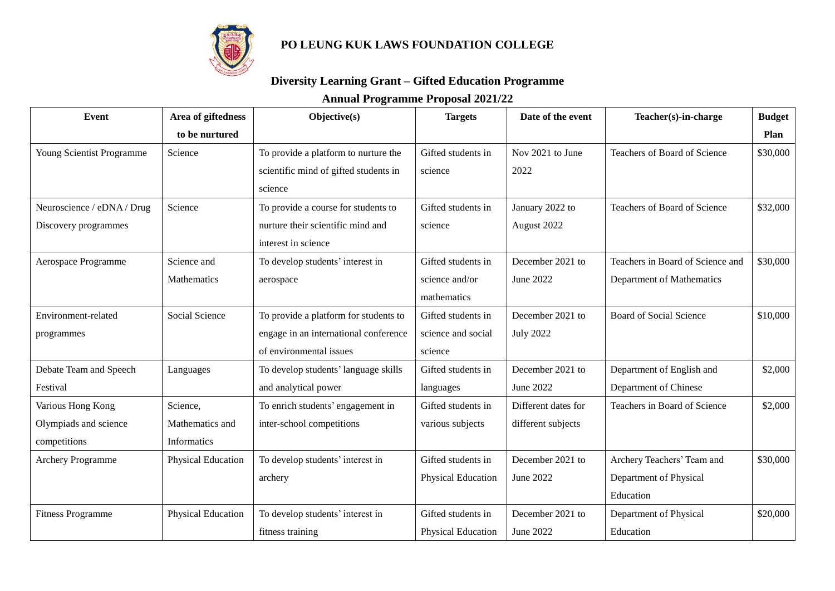

## **PO LEUNG KUK LAWS FOUNDATION COLLEGE**

## **Diversity Learning Grant – Gifted Education Programme**

## **Annual Programme Proposal 2021/22**

| Event                      | Area of giftedness | Objective(s)                          | <b>Targets</b>     | Date of the event   | Teacher(s)-in-charge             | <b>Budget</b> |
|----------------------------|--------------------|---------------------------------------|--------------------|---------------------|----------------------------------|---------------|
|                            | to be nurtured     |                                       |                    |                     |                                  | Plan          |
| Young Scientist Programme  | Science            | To provide a platform to nurture the  | Gifted students in | Nov 2021 to June    | Teachers of Board of Science     | \$30,000      |
|                            |                    | scientific mind of gifted students in | science            | 2022                |                                  |               |
|                            |                    | science                               |                    |                     |                                  |               |
| Neuroscience / eDNA / Drug | Science            | To provide a course for students to   | Gifted students in | January 2022 to     | Teachers of Board of Science     | \$32,000      |
| Discovery programmes       |                    | nurture their scientific mind and     | science            | August 2022         |                                  |               |
|                            |                    | interest in science                   |                    |                     |                                  |               |
| Aerospace Programme        | Science and        | To develop students' interest in      | Gifted students in | December 2021 to    | Teachers in Board of Science and | \$30,000      |
|                            | Mathematics        | aerospace                             | science and/or     | June 2022           | Department of Mathematics        |               |
|                            |                    |                                       | mathematics        |                     |                                  |               |
| Environment-related        | Social Science     | To provide a platform for students to | Gifted students in | December 2021 to    | Board of Social Science          | \$10,000      |
| programmes                 |                    | engage in an international conference | science and social | <b>July 2022</b>    |                                  |               |
|                            |                    | of environmental issues               | science            |                     |                                  |               |
| Debate Team and Speech     | Languages          | To develop students' language skills  | Gifted students in | December 2021 to    | Department of English and        | \$2,000       |
| Festival                   |                    | and analytical power                  | languages          | June 2022           | Department of Chinese            |               |
| Various Hong Kong          | Science,           | To enrich students' engagement in     | Gifted students in | Different dates for | Teachers in Board of Science     | \$2,000       |
| Olympiads and science      | Mathematics and    | inter-school competitions             | various subjects   | different subjects  |                                  |               |
| competitions               | Informatics        |                                       |                    |                     |                                  |               |
| <b>Archery Programme</b>   | Physical Education | To develop students' interest in      | Gifted students in | December 2021 to    | Archery Teachers' Team and       | \$30,000      |
|                            |                    | archery                               | Physical Education | June 2022           | Department of Physical           |               |
|                            |                    |                                       |                    |                     | Education                        |               |
| <b>Fitness Programme</b>   | Physical Education | To develop students' interest in      | Gifted students in | December 2021 to    | Department of Physical           | \$20,000      |
|                            |                    | fitness training                      | Physical Education | June 2022           | Education                        |               |